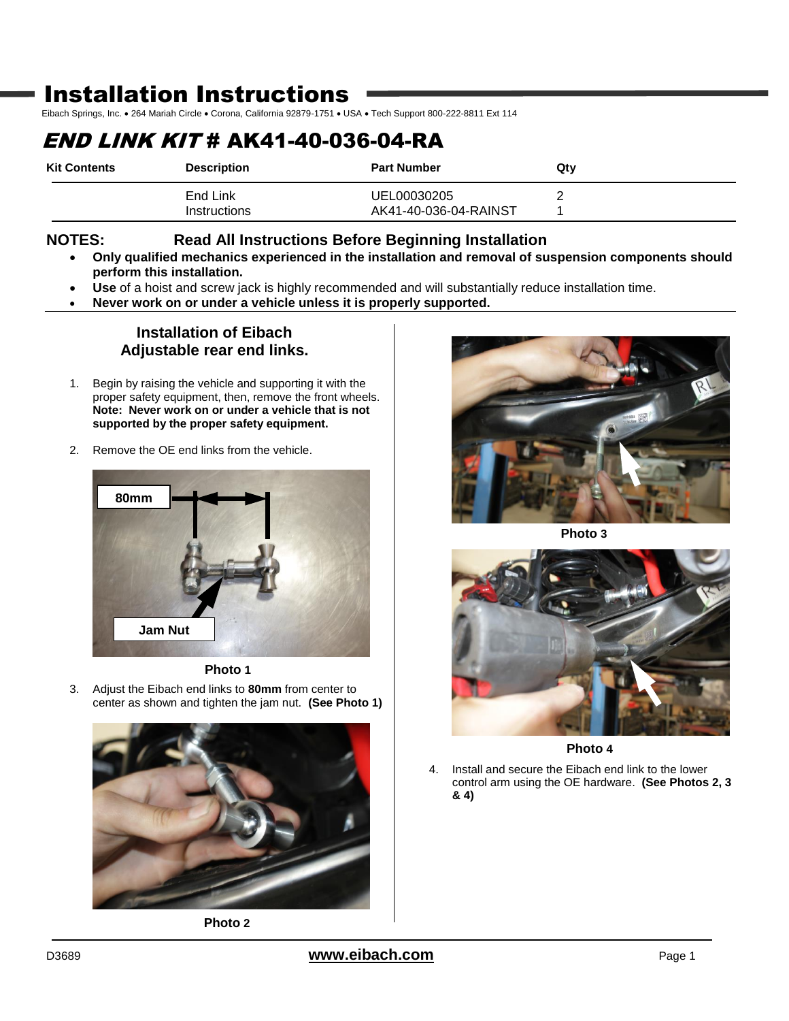# Installation Instructions

Eibach Springs, Inc. . 264 Mariah Circle . Corona, California 92879-1751 . USA . Tech Support 800-222-8811 Ext 114

# END LINK KIT # AK41-40-036-04-RA

| <b>Kit Contents</b> | <b>Description</b>       | <b>Part Number</b>                   | Qtv |
|---------------------|--------------------------|--------------------------------------|-----|
|                     | End Link<br>Instructions | UEL00030205<br>AK41-40-036-04-RAINST |     |

### **NOTES: Read All Instructions Before Beginning Installation**

- **Only qualified mechanics experienced in the installation and removal of suspension components should perform this installation.**
- **Use** of a hoist and screw jack is highly recommended and will substantially reduce installation time.
- **Never work on or under a vehicle unless it is properly supported.**

### **Installation of Eibach Adjustable rear end links.**

- 1. Begin by raising the vehicle and supporting it with the proper safety equipment, then, remove the front wheels. **Note: Never work on or under a vehicle that is not supported by the proper safety equipment.**
- 2. Remove the OE end links from the vehicle.





3. Adjust the Eibach end links to **80mm** from center to center as shown and tighten the jam nut. **(See Photo 1)**



**Photo 2**



**Photo 3**



**Photo 4**

4. Install and secure the Eibach end link to the lower control arm using the OE hardware. **(See Photos 2, 3 & 4)**